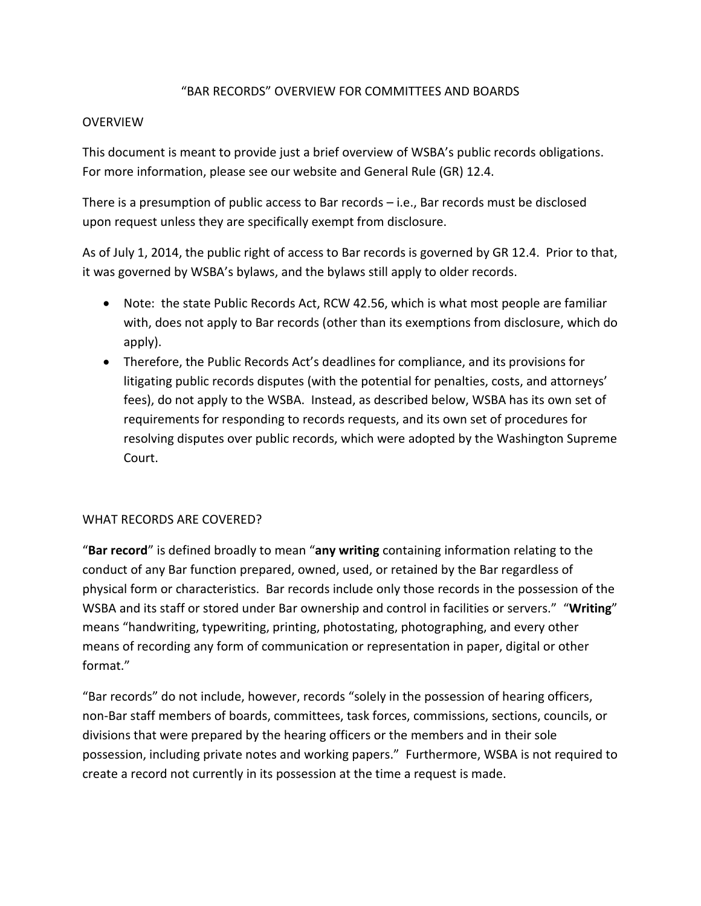## "BAR RECORDS" OVERVIEW FOR COMMITTEES AND BOARDS

### **OVERVIEW**

This document is meant to provide just a brief overview of WSBA's public records obligations. For more information, please see our website and General Rule (GR) 12.4.

There is a presumption of public access to Bar records – i.e., Bar records must be disclosed upon request unless they are specifically exempt from disclosure.

As of July 1, 2014, the public right of access to Bar records is governed by GR 12.4. Prior to that, it was governed by WSBA's bylaws, and the bylaws still apply to older records.

- Note: the state Public Records Act, RCW 42.56, which is what most people are familiar with, does not apply to Bar records (other than its exemptions from disclosure, which do apply).
- Therefore, the Public Records Act's deadlines for compliance, and its provisions for litigating public records disputes (with the potential for penalties, costs, and attorneys' fees), do not apply to the WSBA. Instead, as described below, WSBA has its own set of requirements for responding to records requests, and its own set of procedures for resolving disputes over public records, which were adopted by the Washington Supreme Court.

### WHAT RECORDS ARE COVERED?

"**Bar record**" is defined broadly to mean "**any writing** containing information relating to the conduct of any Bar function prepared, owned, used, or retained by the Bar regardless of physical form or characteristics. Bar records include only those records in the possession of the WSBA and its staff or stored under Bar ownership and control in facilities or servers." "**Writing**" means "handwriting, typewriting, printing, photostating, photographing, and every other means of recording any form of communication or representation in paper, digital or other format."

"Bar records" do not include, however, records "solely in the possession of hearing officers, non-Bar staff members of boards, committees, task forces, commissions, sections, councils, or divisions that were prepared by the hearing officers or the members and in their sole possession, including private notes and working papers." Furthermore, WSBA is not required to create a record not currently in its possession at the time a request is made.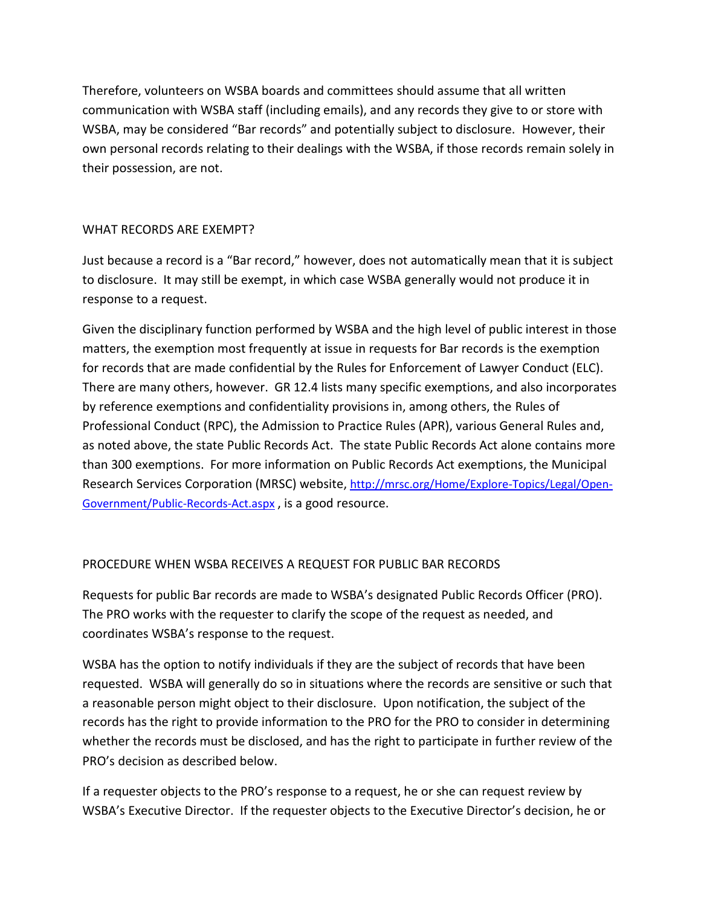Therefore, volunteers on WSBA boards and committees should assume that all written communication with WSBA staff (including emails), and any records they give to or store with WSBA, may be considered "Bar records" and potentially subject to disclosure. However, their own personal records relating to their dealings with the WSBA, if those records remain solely in their possession, are not.

## WHAT RECORDS ARE EXEMPT?

Just because a record is a "Bar record," however, does not automatically mean that it is subject to disclosure. It may still be exempt, in which case WSBA generally would not produce it in response to a request.

Given the disciplinary function performed by WSBA and the high level of public interest in those matters, the exemption most frequently at issue in requests for Bar records is the exemption for records that are made confidential by the Rules for Enforcement of Lawyer Conduct (ELC). There are many others, however. GR 12.4 lists many specific exemptions, and also incorporates by reference exemptions and confidentiality provisions in, among others, the Rules of Professional Conduct (RPC), the Admission to Practice Rules (APR), various General Rules and, as noted above, the state Public Records Act. The state Public Records Act alone contains more than 300 exemptions. For more information on Public Records Act exemptions, the Municipal Research Services Corporation (MRSC) website, [http://mrsc.org/Home/Explore-Topics/Legal/Open-](http://mrsc.org/Home/Explore-Topics/Legal/Open-Government/Public-Records-Act.aspx)[Government/Public-Records-Act.aspx](http://mrsc.org/Home/Explore-Topics/Legal/Open-Government/Public-Records-Act.aspx) , is a good resource.

# PROCEDURE WHEN WSBA RECEIVES A REQUEST FOR PUBLIC BAR RECORDS

Requests for public Bar records are made to WSBA's designated Public Records Officer (PRO). The PRO works with the requester to clarify the scope of the request as needed, and coordinates WSBA's response to the request.

WSBA has the option to notify individuals if they are the subject of records that have been requested. WSBA will generally do so in situations where the records are sensitive or such that a reasonable person might object to their disclosure. Upon notification, the subject of the records has the right to provide information to the PRO for the PRO to consider in determining whether the records must be disclosed, and has the right to participate in further review of the PRO's decision as described below.

If a requester objects to the PRO's response to a request, he or she can request review by WSBA's Executive Director. If the requester objects to the Executive Director's decision, he or